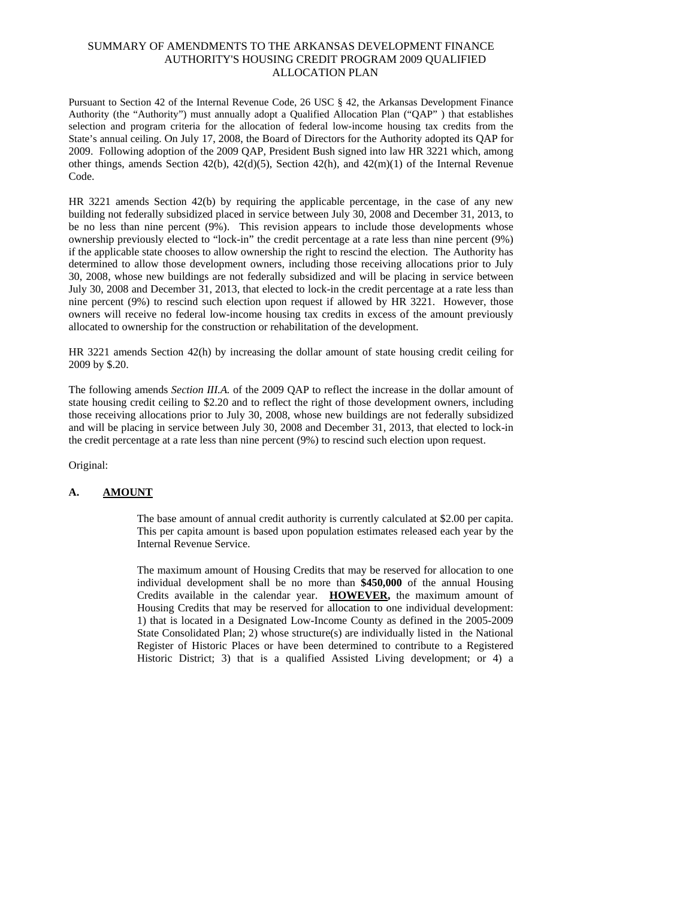## SUMMARY OF AMENDMENTS TO THE ARKANSAS DEVELOPMENT FINANCE AUTHORITY'S HOUSING CREDIT PROGRAM 2009 QUALIFIED ALLOCATION PLAN

Pursuant to Section 42 of the Internal Revenue Code, 26 USC § 42, the Arkansas Development Finance Authority (the "Authority") must annually adopt a Qualified Allocation Plan ("QAP" ) that establishes selection and program criteria for the allocation of federal low-income housing tax credits from the State's annual ceiling. On July 17, 2008, the Board of Directors for the Authority adopted its QAP for 2009. Following adoption of the 2009 QAP, President Bush signed into law HR 3221 which, among other things, amends Section 42(b), 42(d)(5), Section 42(h), and 42(m)(1) of the Internal Revenue code. The contract of the contract of the contract of the contract of the contract of the contract of the contract of the contract of the contract of the contract of the contract of the contract of the contract of the cont

HR 3221 amends Section 42(b) by requiring the applicable percentage, in the case of any new building not federally subsidized placed in service between July 30, 2008 and December 31, 2013, to be no less than nine percent (9%). This revision appears to include those developments whose ownership previously elected to "lock-in" the credit percentage at a rate less than nine percent (9%) if the applicable state chooses to allow ownership the right to rescind the election. The Authority has determined to allow those development owners, including those receiving allocations prior to July 30, 2008, whose new buildings are not federally subsidized and will be placing in service between July 30, 2008 and December 31, 2013, that elected to lock-in the credit percentage at a rate less than nine percent (9%) to rescind such election upon request if allowed by HR 3221. However, those owners will receive no federal low-income housing tax credits in excess of the amount previously allocated to ownership for the construction or rehabilitation of the development.

HR 3221 amends Section 42(h) by increasing the dollar amount of state housing credit ceiling for 2009 by \$.20.

The following amends *Section III.A.* of the 2009 QAP to reflect the increase in the dollar amount of state housing credit ceiling to \$2.20 and to reflect the right of those development owners, including those receiving allocations prior to July 30, 2008, whose new buildings are not federally subsidized and will be placing in service between July 30, 2008 and December 31, 2013, that elected to lock-in the credit percentage at a rate less than nine percent (9%) to rescind such election upon request.

Original:

## **A. AMOUNT**

The base amount of annual credit authority is currently calculated at \$2.00 per capita. This per capita amount is based upon population estimates released each year by the Internal Revenue Service.

The maximum amount of Housing Credits that may be reserved for allocation to one individual development shall be no more than **\$450,000** of the annual Housing Credits available in the calendar year. **HOWEVER,** the maximum amount of Housing Credits that may be reserved for allocation to one individual development: 1) that is located in a Designated Low-Income County as defined in the 2005-2009 State Consolidated Plan; 2) whose structure(s) are individually listed in the National Register of Historic Places or have been determined to contribute to a Registered Historic District; 3) that is a qualified Assisted Living development; or 4) a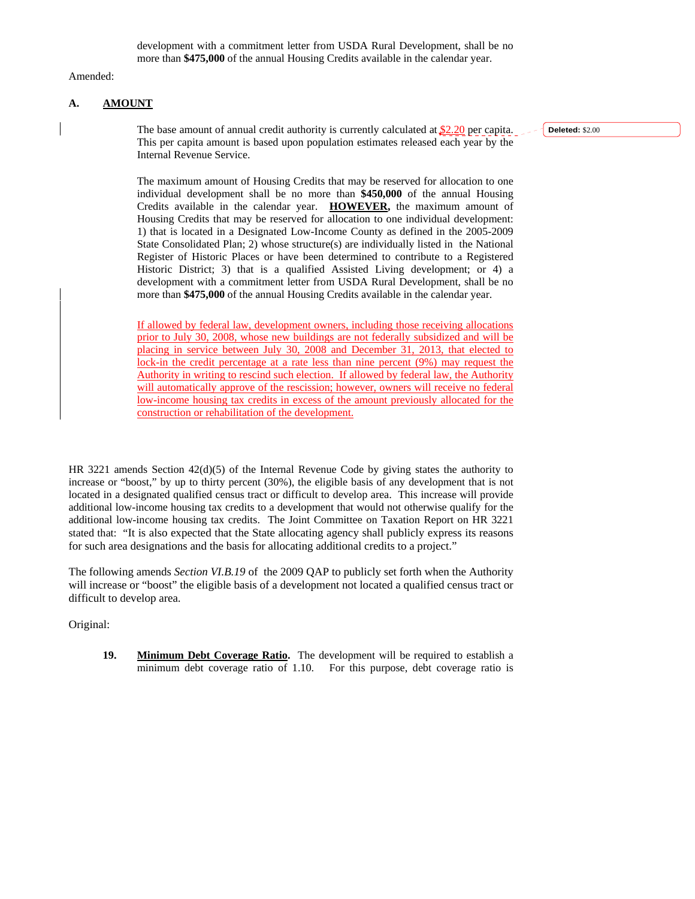Amended: The contract of the contract of the contract of the contract of the contract of the contract of the contract of the contract of the contract of the contract of the contract of the contract of the contract of the c

## **A. AMOUNT**

The base amount of annual credit authority is currently calculated at  $$2.20$  per capita. This per capita amount is based upon population estimates released each year by the Internal Revenue Service.

**Deleted:** \$2.00

The maximum amount of Housing Credits that may be reserved for allocation to one individual development shall be no more than **\$450,000** of the annual Housing Credits available in the calendar year. **HOWEVER,** the maximum amount of Housing Credits that may be reserved for allocation to one individual development: 1) that is located in a Designated Low-Income County as defined in the 2005-2009 State Consolidated Plan; 2) whose structure(s) are individually listed in the National Register of Historic Places or have been determined to contribute to a Registered Historic District; 3) that is a qualified Assisted Living development; or 4) a development with a commitment letter from USDA Rural Development, shall be no more than **\$475,000** of the annual Housing Credits available in the calendar year.

If allowed by federal law, development owners, including those receiving allocations prior to July 30, 2008, whose new buildings are not federally subsidized and will be placing in service between July 30, 2008 and December 31, 2013, that elected to lock-in the credit percentage at a rate less than nine percent (9%) may request the Authority in writing to rescind such election. If allowed by federal law, the Authority will automatically approve of the rescission; however, ownerswill receive no federal low-income housing tax credits in excess of the amount previously allocated for the construction or rehabilitation of the development.

HR 3221 amends Section 42(d)(5) of the Internal Revenue Code by giving states the authority to increase or "boost," by up to thirty percent (30%), the eligible basis of any development that is not located in a designated qualified census tract or difficult to develop area. This increase will provide additional low-income housing tax credits to a development that would not otherwise qualify for the additional low-income housing tax credits. The Joint Committee on Taxation Report on HR 3221 stated that: "It is also expected that the State allocating agency shall publicly express its reasons for such area designations and the basis for allocating additional credits to a project."

The following amends *Section VI.B.19* of the 2009 QAP to publicly set forth when the Authority will increase or "boost" the eligible basis of a development not located a qualified census tract or difficult to develop area.

Original:

**19. Minimum Debt Coverage Ratio.** The development will be required to establish a minimum debt coverage ratio of 1.10. For this purpose, debt coverage ratio is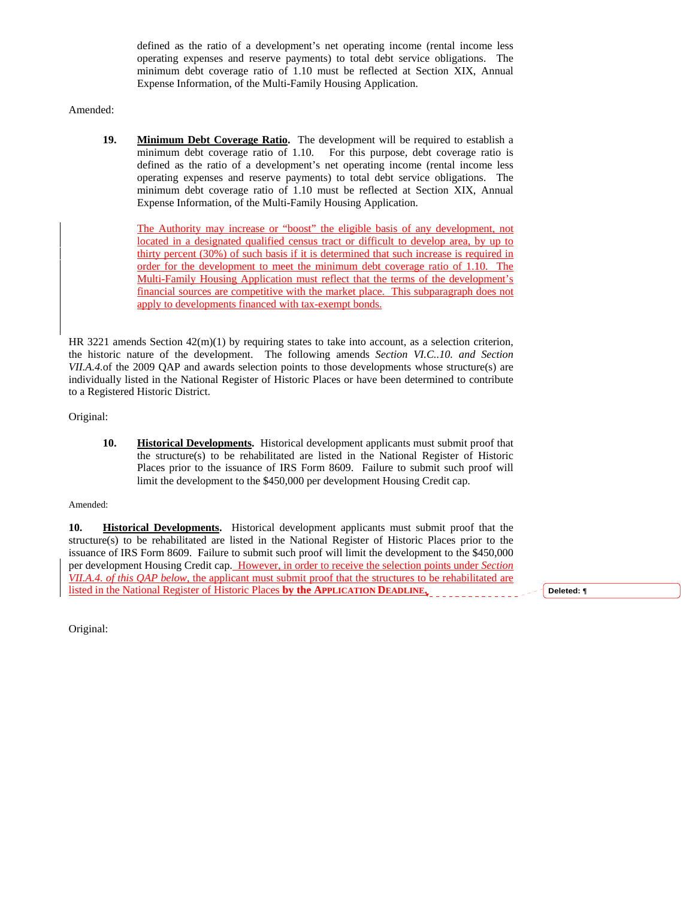defined as the ratio of a development's net operating income (rental income less operating expenses and reserve payments) to total debt service obligations. The minimum debt coverage ratio of 1.10 must be reflected at Section XIX, Annual Expense Information, of the Multi-Family Housing Application.

Amended: The contract of the contract of the contract of the contract of the contract of the contract of the contract of the contract of the contract of the contract of the contract of the contract of the contract of the c

**19. Minimum Debt Coverage Ratio.** The development will be required to establish a minimum debt coverage ratio of 1.10. For this purpose, debt coverage ratio is defined as the ratio of a development's net operating income (rental income less operating expenses and reserve payments) to total debt service obligations. The minimum debt coverage ratio of 1.10 must be reflected at Section XIX, Annual Expense Information, of the Multi-Family Housing Application.

The Authority may increase or "boost" the eligible basis of any development, not located in a designated qualified census tract or difficult to develop area, by up to thirty percent (30%) of such basis if it is determined that such increase is required in order for the development to meet the minimum debt coverage ratio of 1.10. The Multi-Family Housing Application must reflect that the terms of the development's financial sources are competitive with the market place. This subparagraph does not apply to developments financed with tax-exempt bonds.

HR 3221 amends Section 42(m)(1) by requiring states to take into account, as a selection criterion, the historic nature of the development. The following amends *Section VI.C..10. and Section VII.A.4.*of the 2009 QAP and awards selection points to those developments whose structure(s) are individually listed in the National Register of Historic Places or have been determined to contribute to a Registered Historic District.

Original:

**10. Historical Developments.** Historical development applicants must submit proof that the structure(s) to be rehabilitated are listed in the National Register of Historic Places prior to the issuance of IRS Form 8609. Failure to submit such proof will limit the development to the \$450,000 per development Housing Credit cap.

## Amended:

**10. Historical Developments.** Historical development applicants must submit proof that the structure(s) to be rehabilitated are listed in the National Register of Historic Places prior to the issuance of IRS Form 8609. Failure to submit such proof will limit the development to the \$450,000 per development Housing Credit cap. However, in order to receive the selection points under *Section VII.A.4. of this QAP below,* the applicant must submit proof that the structures to be rehabilitated are listed in the National Register of Historic Places **by the APPLICATION DEADLINE.**

**Deleted: ¶**

Original: